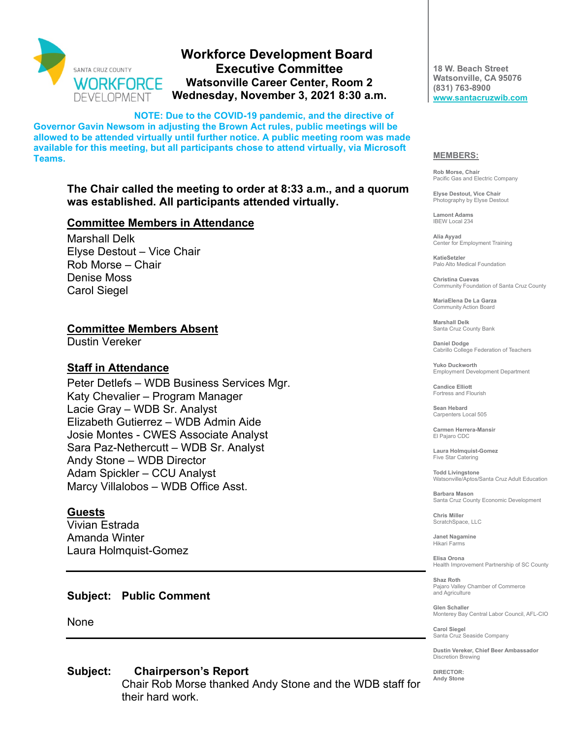

## **Workforce Development Board Executive Committee Watsonville Career Center, Room 2 Wednesday, November 3, 2021 8:30 a.m.**

**NOTE: Due to the COVID-19 pandemic, and the directive of Governor Gavin Newsom in adjusting the Brown Act rules, public meetings will be allowed to be attended virtually until further notice. A public meeting room was made available for this meeting, but all participants chose to attend virtually, via Microsoft Teams.** 

### **The Chair called the meeting to order at 8:33 a.m., and a quorum was established. All participants attended virtually.**

### **Committee Members in Attendance**

Marshall Delk Elyse Destout – Vice Chair Rob Morse – Chair Denise Moss Carol Siegel

### **Committee Members Absent**

Dustin Vereker

### **Staff in Attendance**

Peter Detlefs – WDB Business Services Mgr. Katy Chevalier – Program Manager Lacie Gray – WDB Sr. Analyst Elizabeth Gutierrez – WDB Admin Aide Josie Montes - CWES Associate Analyst Sara Paz-Nethercutt – WDB Sr. Analyst Andy Stone – WDB Director Adam Spickler – CCU Analyst Marcy Villalobos – WDB Office Asst.

### **Guests**

Vivian Estrada Amanda Winter Laura Holmquist-Gomez

### **Subject: Public Comment**

None

### **Subject: Chairperson's Report**

Chair Rob Morse thanked Andy Stone and the WDB staff for their hard work.

**18 W. Beach Street Watsonville, CA 95076 (831) 763-8900 [www.santacruzwib.com](http://www.santacruzwib.com/)**

#### **MEMBERS:**

**Rob Morse, Chair** Pacific Gas and Electric Company

**Elyse Destout, Vice Chair** Photography by Elyse Destout

**Lamont Adams** IBEW Local 234

**Alia Ayyad** Center for Employment Training

**KatieSetzler** Palo Alto Medical Foundation

**Christina Cuevas** Community Foundation of Santa Cruz County

**MariaElena De La Garza** Community Action Board

**Marshall Delk** Santa Cruz County Bank

**Daniel Dodge** Cabrillo College Federation of Teachers

**Yuko Duckworth** Employment Development Department

**Candice Elliott** Fortress and Flourish

**Sean Hebard** Carpenters Local 505

**Carmen Herrera-Mansir** El Pajaro CDC

**Laura Holmquist-Gomez** Five Star Catering

**Todd Livingstone** Watsonville/Aptos/Santa Cruz Adult Education

**Barbara Mason** Santa Cruz County Economic Development

**Chris Miller** ScratchSpace, LLC

**Janet Nagamine** Hikari Farms

**Elisa Orona** Health Improvement Partnership of SC County

**Shaz Roth** Pajaro Valley Chamber of Commerce and Agriculture

**Glen Schaller** Monterey Bay Central Labor Council, AFL-CIO

**Carol Siegel** Santa Cruz Seaside Company

**Dustin Vereker, Chief Beer Ambassador** Discretion Brewing

**DIRECTOR: Andy Stone**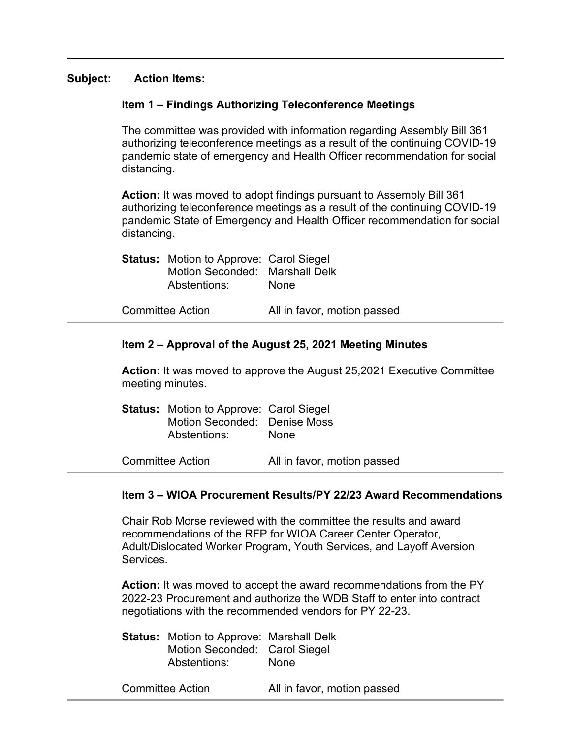### **Subject: Action Items:**

### **Item 1 – Findings Authorizing Teleconference Meetings**

The committee was provided with information regarding Assembly Bill 361 authorizing teleconference meetings as a result of the continuing COVID-19 pandemic state of emergency and Health Officer recommendation for social distancing.

**Action:** It was moved to adopt findings pursuant to Assembly Bill 361 authorizing teleconference meetings as a result of the continuing COVID-19 pandemic State of Emergency and Health Officer recommendation for social distancing.

| <b>Status:</b> Motion to Approve: Carol Siegel<br>Motion Seconded: Marshall Delk<br>Abstentions: | <b>None</b>                 |
|--------------------------------------------------------------------------------------------------|-----------------------------|
| <b>Committee Action</b>                                                                          | All in favor, motion passed |

# **Item 2 – Approval of the August 25, 2021 Meeting Minutes**

**Action:** It was moved to approve the August 25,2021 Executive Committee meeting minutes.

| <b>Status:</b> Motion to Approve: Carol Siegel<br>Motion Seconded: Denise Moss<br>Abstentions: | <b>None</b>                 |  |
|------------------------------------------------------------------------------------------------|-----------------------------|--|
| Committee Action                                                                               | All in favor, motion passed |  |

### **Item 3 – WIOA Procurement Results/PY 22/23 Award Recommendations**

Chair Rob Morse reviewed with the committee the results and award recommendations of the RFP for WIOA Career Center Operator, Adult/Dislocated Worker Program, Youth Services, and Layoff Aversion Services.

**Action:** It was moved to accept the award recommendations from the PY 2022-23 Procurement and authorize the WDB Staff to enter into contract negotiations with the recommended vendors for PY 22-23.

**Status:** Motion to Approve: Marshall Delk Motion Seconded: Carol Siegel Abstentions: None

Committee Action All in favor, motion passed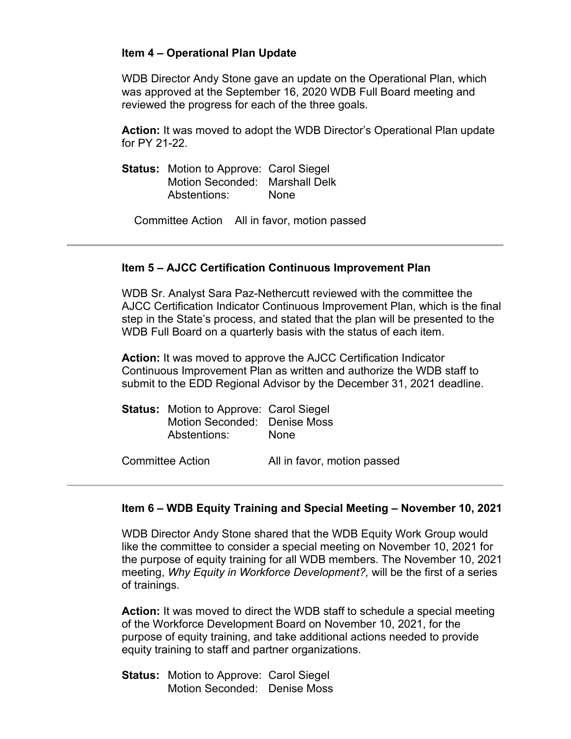### **Item 4 – Operational Plan Update**

WDB Director Andy Stone gave an update on the Operational Plan, which was approved at the September 16, 2020 WDB Full Board meeting and reviewed the progress for each of the three goals.

**Action:** It was moved to adopt the WDB Director's Operational Plan update for PY 21-22.

**Status:** Motion to Approve: Carol Siegel Motion Seconded: Marshall Delk Abstentions: None

Committee Action All in favor, motion passed

### **Item 5 – AJCC Certification Continuous Improvement Plan**

WDB Sr. Analyst Sara Paz-Nethercutt reviewed with the committee the AJCC Certification Indicator Continuous Improvement Plan, which is the final step in the State's process, and stated that the plan will be presented to the WDB Full Board on a quarterly basis with the status of each item.

**Action:** It was moved to approve the AJCC Certification Indicator Continuous Improvement Plan as written and authorize the WDB staff to submit to the EDD Regional Advisor by the December 31, 2021 deadline.

| <b>Status:</b> Motion to Approve: Carol Siegel<br>Motion Seconded: Denise Moss<br>Abstentions: | <b>None</b>                 |
|------------------------------------------------------------------------------------------------|-----------------------------|
| Committee Action                                                                               | All in favor, motion passed |

### **Item 6 – WDB Equity Training and Special Meeting – November 10, 2021**

WDB Director Andy Stone shared that the WDB Equity Work Group would like the committee to consider a special meeting on November 10, 2021 for the purpose of equity training for all WDB members. The November 10, 2021 meeting, *Why Equity in Workforce Development?,* will be the first of a series of trainings.

**Action:** It was moved to direct the WDB staff to schedule a special meeting of the Workforce Development Board on November 10, 2021, for the purpose of equity training, and take additional actions needed to provide equity training to staff and partner organizations.

**Status:** Motion to Approve: Carol Siegel Motion Seconded: Denise Moss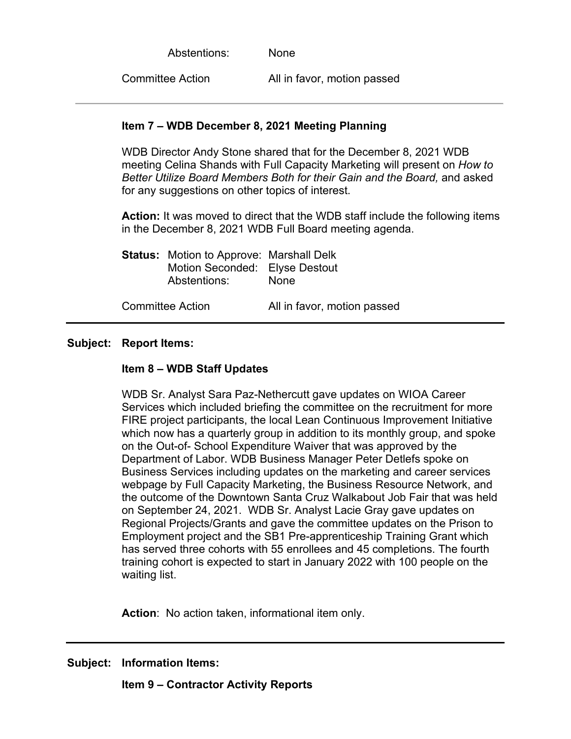Abstentions: None

Committee Action All in favor, motion passed

### **Item 7 – WDB December 8, 2021 Meeting Planning**

WDB Director Andy Stone shared that for the December 8, 2021 WDB meeting Celina Shands with Full Capacity Marketing will present on *How to Better Utilize Board Members Both for their Gain and the Board,* and asked for any suggestions on other topics of interest.

**Action:** It was moved to direct that the WDB staff include the following items in the December 8, 2021 WDB Full Board meeting agenda.

| <b>Status:</b> Motion to Approve: Marshall Delk<br>Motion Seconded: Elyse Destout<br>Abstentions: | None                        |
|---------------------------------------------------------------------------------------------------|-----------------------------|
| <b>Committee Action</b>                                                                           | All in favor, motion passed |

### **Subject: Report Items:**

### **Item 8 – WDB Staff Updates**

WDB Sr. Analyst Sara Paz-Nethercutt gave updates on WIOA Career Services which included briefing the committee on the recruitment for more FIRE project participants, the local Lean Continuous Improvement Initiative which now has a quarterly group in addition to its monthly group, and spoke on the Out-of- School Expenditure Waiver that was approved by the Department of Labor. WDB Business Manager Peter Detlefs spoke on Business Services including updates on the marketing and career services webpage by Full Capacity Marketing, the Business Resource Network, and the outcome of the Downtown Santa Cruz Walkabout Job Fair that was held on September 24, 2021. WDB Sr. Analyst Lacie Gray gave updates on Regional Projects/Grants and gave the committee updates on the Prison to Employment project and the SB1 Pre-apprenticeship Training Grant which has served three cohorts with 55 enrollees and 45 completions. The fourth training cohort is expected to start in January 2022 with 100 people on the waiting list.

**Action**: No action taken, informational item only.

**Subject: Information Items:**

**Item 9 – Contractor Activity Reports**